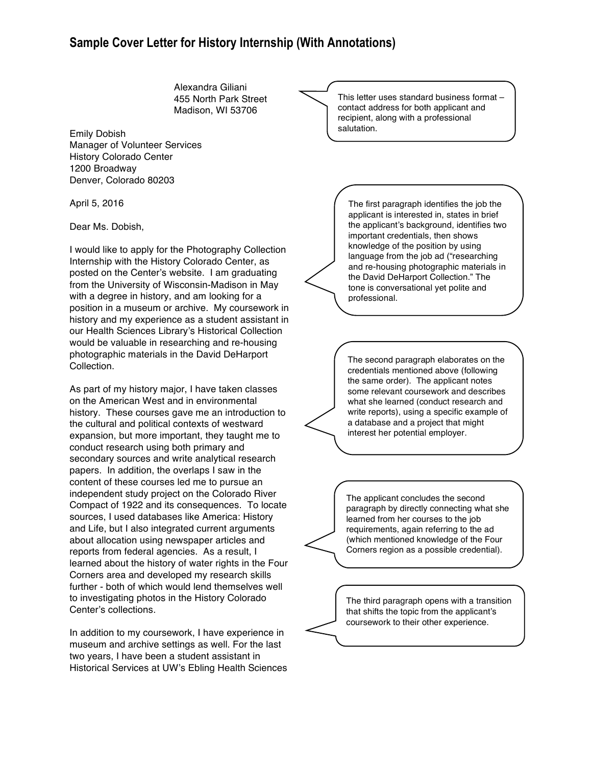## **Sample Cover Letter for History Internship (With Annotations)**

Alexandra Giliani 455 North Park Street Madison, WI 53706

Emily Dobish Manager of Volunteer Services History Colorado Center 1200 Broadway Denver, Colorado 80203

April 5, 2016

Dear Ms. Dobish,

I would like to apply for the Photography Collection Internship with the History Colorado Center, as posted on the Center's website. I am graduating from the University of Wisconsin-Madison in May with a degree in history, and am looking for a position in a museum or archive. My coursework in history and my experience as a student assistant in our Health Sciences Library's Historical Collection would be valuable in researching and re-housing photographic materials in the David DeHarport Collection.

As part of my history major, I have taken classes on the American West and in environmental history. These courses gave me an introduction to the cultural and political contexts of westward expansion, but more important, they taught me to conduct research using both primary and secondary sources and write analytical research papers. In addition, the overlaps I saw in the content of these courses led me to pursue an independent study project on the Colorado River Compact of 1922 and its consequences. To locate sources, I used databases like America: History and Life, but I also integrated current arguments about allocation using newspaper articles and reports from federal agencies. As a result, I learned about the history of water rights in the Four Corners area and developed my research skills further - both of which would lend themselves well to investigating photos in the History Colorado Center's collections.

In addition to my coursework, I have experience in museum and archive settings as well. For the last two years, I have been a student assistant in Historical Services at UW's Ebling Health Sciences

This letter uses standard business format – contact address for both applicant and recipient, along with a professional salutation.

> The first paragraph identifies the job the applicant is interested in, states in brief the applicant's background, identifies two important credentials, then shows knowledge of the position by using language from the job ad ("researching and re-housing photographic materials in the David DeHarport Collection." The tone is conversational yet polite and professional.

> The second paragraph elaborates on the credentials mentioned above (following the same order). The applicant notes some relevant coursework and describes what she learned (conduct research and write reports), using a specific example of a database and a project that might interest her potential employer.

> The applicant concludes the second paragraph by directly connecting what she learned from her courses to the job requirements, again referring to the ad (which mentioned knowledge of the Four Corners region as a possible credential).

> The third paragraph opens with a transition that shifts the topic from the applicant's coursework to their other experience.